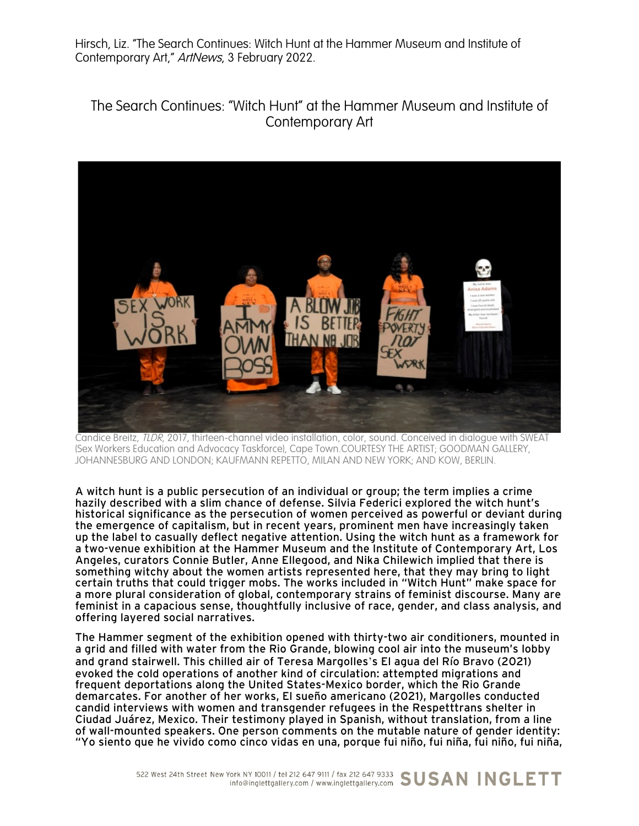Hirsch, Liz. "The Search Continues: Witch Hunt at the Hammer Museum and Institute of Contemporary Art," ArtNews, 3 February 2022.

## The Search Continues: "Witch Hunt" at the Hammer Museum and Institute of Contemporary Art



Candice Breitz, TLDR, 2017, thirteen-channel video installation, color, sound. Conceived in dialogue with SWEAT (Sex Workers Education and Advocacy Taskforce), Cape Town.COURTESY THE ARTIST; GOODMAN GALLERY, JOHANNESBURG AND LONDON; KAUFMANN REPETTO, MILAN AND NEW YORK; AND KOW, BERLIN.

A witch hunt is a public persecution of an individual or group; the term implies a crime hazily described with a slim chance of defense. Silvia Federici explored the witch hunt's historical significance as the persecution of women perceived as powerful or deviant during the emergence of capitalism, but in recent years, prominent men have increasingly taken up the label to casually deflect negative attention. Using the witch hunt as a framework for a two-venue exhibition at the Hammer Museum and the Institute of Contemporary Art, Los Angeles, curators Connie Butler, Anne Ellegood, and Nika Chilewich implied that there is something witchy about the women artists represented here, that they may bring to light certain truths that could trigger mobs. The works included in "Witch Hunt" make space for a more plural consideration of global, contemporary strains of feminist discourse. Many are feminist in a capacious sense, thoughtfully inclusive of race, gender, and class analysis, and offering layered social narratives.

The Hammer segment of the exhibition opened with thirty-two air conditioners, mounted in a grid and filled with water from the Rio Grande, blowing cool air into the museum's lobby and grand stairwell. This chilled air of Teresa Margolles's El agua del Río Bravo (2021) evoked the cold operations of another kind of circulation: attempted migrations and frequent deportations along the United States-Mexico border, which the Rio Grande demarcates. For another of her works, El sueño americano (2021), Margolles conducted candid interviews with women and transgender refugees in the Respetttrans shelter in Ciudad Juárez, Mexico. Their testimony played in Spanish, without translation, from a line of wall-mounted speakers. One person comments on the mutable nature of gender identity: "Yo siento que he vivido como cinco vidas en una, porque fui niño, fui niña, fui niño, fui niña,